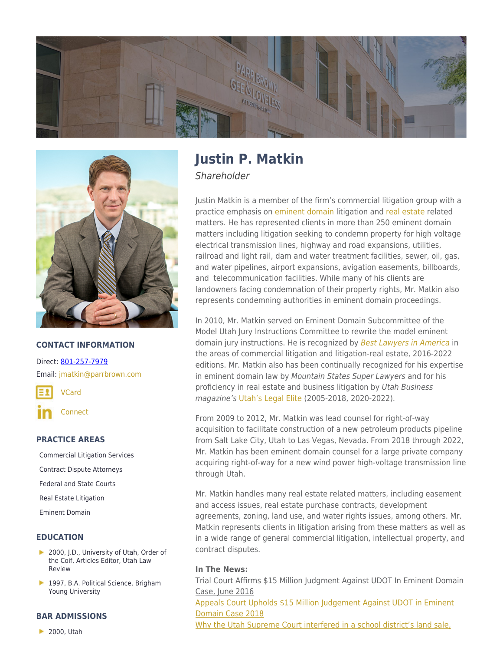



## **CONTACT INFORMATION**

Direct: [801-257-7979](https://parrbrown.com/tel:1-801-257-7979) Email: [jmatkin@parrbrown.com](mailto:jmatkin@parrbrown.com)

[VCard](https://parrbrown.com/wp-content/uploads/2018/02/Justin-P.-Matkin-2.vcf)

**[Connect](https://www.linkedin.com/pub/justin-matkin/4/394/2)** 

## **PRACTICE AREAS**

[Commercial Litigation Services](https://parrbrown.com/services/commercial-litigation/) [Contract Dispute Attorneys](https://parrbrown.com/services/commercial-litigation/contract-disputes/) [Federal and State Courts](https://parrbrown.com/services/commercial-litigation/federal-and-state-courts/) [Real Estate Litigation](https://parrbrown.com/services/commercial-litigation/real-estate-litigation/) [Eminent Domain](https://parrbrown.com/services/commercial-litigation/eminent-domain/)

## **EDUCATION**

- 2000, J.D., University of Utah, Order of the Coif, Articles Editor, Utah Law Review
- 1997, B.A. Political Science, Brigham Young University

### **BAR ADMISSIONS**

▶ 2000, Utah

# **Justin P. Matkin**

**Shareholder** 

Justin Matkin is a member of the firm's commercial litigation group with a practice emphasis on [eminent domain](https://www.parrbrown.com/services/commercial-litigation/eminent-domain/) litigation and [real estate](https://www.parrbrown.com/services/commercial-litigation/real-estate-litigation/) related matters. He has represented clients in more than 250 eminent domain matters including litigation seeking to condemn property for high voltage electrical transmission lines, highway and road expansions, utilities, railroad and light rail, dam and water treatment facilities, sewer, oil, gas, and water pipelines, airport expansions, avigation easements, billboards, and telecommunication facilities. While many of his clients are landowners facing condemnation of their property rights, Mr. Matkin also represents condemning authorities in eminent domain proceedings.

In 2010, Mr. Matkin served on Eminent Domain Subcommittee of the Model Utah Jury Instructions Committee to rewrite the model eminent domain jury instructions. He is recognized by [Best Lawyers in America](https://www.bestlawyers.com/) in the areas of commercial litigation and litigation-real estate, 2016-2022 editions. Mr. Matkin also has been continually recognized for his expertise in eminent domain law by Mountain States Super Lawyers and for his proficiency in real estate and business litigation by Utah Business magazine's [Utah's Legal Elite](https://www.utahbusiness.com/meet-the-2022-legal-elite/) (2005-2018, 2020-2022).

From 2009 to 2012, Mr. Matkin was lead counsel for right-of-way acquisition to facilitate construction of a new petroleum products pipeline from Salt Lake City, Utah to Las Vegas, Nevada. From 2018 through 2022, Mr. Matkin has been eminent domain counsel for a large private company acquiring right-of-way for a new wind power high-voltage transmission line through Utah.

Mr. Matkin handles many real estate related matters, including easement and access issues, real estate purchase contracts, development agreements, zoning, land use, and water rights issues, among others. Mr. Matkin represents clients in litigation arising from these matters as well as in a wide range of general commercial litigation, intellectual property, and contract disputes.

## **In The News:**

[Trial Court Affirms \\$15 Million Judgment Against UDOT In Eminent Domain](https://parrbrown.com/trial-court-affirms-15-million-judgment-against-udot-in-eminent-domain-case/) [Case, June 2016](https://parrbrown.com/trial-court-affirms-15-million-judgment-against-udot-in-eminent-domain-case/) [Appeals Court Upholds \\$15 Million Judgement Against UDOT in Eminent](https://fox13now.com/2018/11/13/appeals-court-upholds-15-million-judgment-against-udot-in-eminent-domain-case/) [Domain Case 2018](https://fox13now.com/2018/11/13/appeals-court-upholds-15-million-judgment-against-udot-in-eminent-domain-case/) [Why the Utah Supreme Court interfered in a school district's land sale,](https://www.ksl.com/article/50413257/why-the-utah-supreme-court-interfered-in-a-school-districts-land-sale)